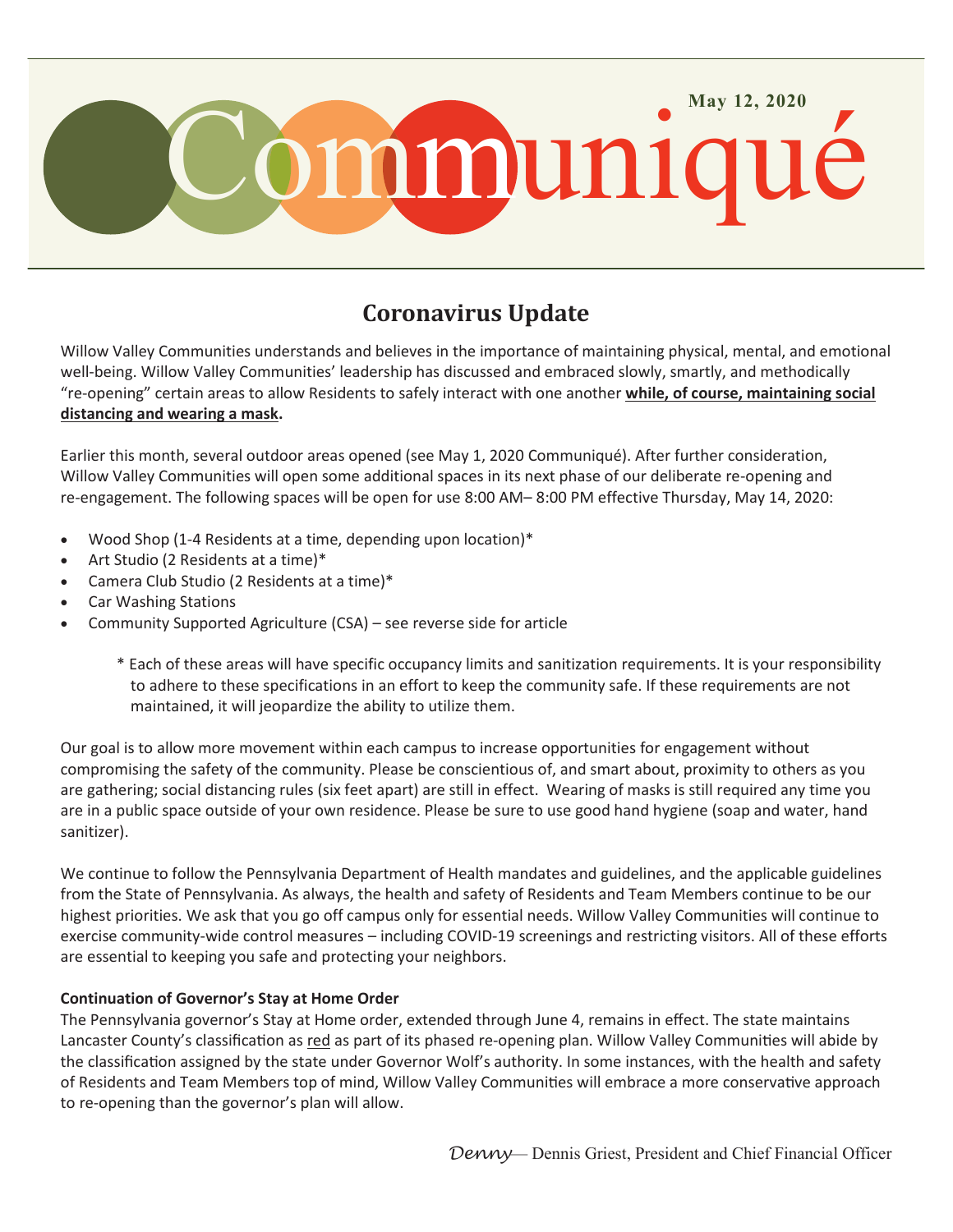

## **Coronavirus Update**

Willow Valley Communities understands and believes in the importance of maintaining physical, mental, and emotional well-being. Willow Valley Communities' leadership has discussed and embraced slowly, smartly, and methodically "re-opening" certain areas to allow Residents to safely interact with one another **while, of course, maintaining social distancing and wearing a mask.**

Earlier this month, several outdoor areas opened (see May 1, 2020 Communiqué). After further consideration, Willow Valley Communities will open some additional spaces in its next phase of our deliberate re-opening and re-engagement. The following spaces will be open for use 8:00 AM– 8:00 PM effective Thursday, May 14, 2020:

- Wood Shop (1-4 Residents at a time, depending upon location)\*
- Art Studio (2 Residents at a time)\*
- Camera Club Studio (2 Residents at a time)\*
- Car Washing Stations
- Community Supported Agriculture (CSA) see reverse side for article
	- \* Each of these areas will have specific occupancy limits and sanitization requirements. It is your responsibility to adhere to these specifications in an effort to keep the community safe. If these requirements are not maintained, it will jeopardize the ability to utilize them.

Our goal is to allow more movement within each campus to increase opportunities for engagement without compromising the safety of the community. Please be conscientious of, and smart about, proximity to others as you are gathering; social distancing rules (six feet apart) are still in effect. Wearing of masks is still required any time you are in a public space outside of your own residence. Please be sure to use good hand hygiene (soap and water, hand sanitizer).

We continue to follow the Pennsylvania Department of Health mandates and guidelines, and the applicable guidelines from the State of Pennsylvania. As always, the health and safety of Residents and Team Members continue to be our highest priorities. We ask that you go off campus only for essential needs. Willow Valley Communities will continue to exercise community-wide control measures – including COVID-19 screenings and restricting visitors. All of these efforts are essential to keeping you safe and protecting your neighbors.

## **Continuation of Governor's Stay at Home Order**

The Pennsylvania governor's Stay at Home order, extended through June 4, remains in effect. The state maintains Lancaster County's classification as red as part of its phased re-opening plan. Willow Valley Communities will abide by the classification assigned by the state under Governor Wolf's authority. In some instances, with the health and safety of Residents and Team Members top of mind, Willow Valley Communities will embrace a more conservative approach to re-opening than the governor's plan will allow.